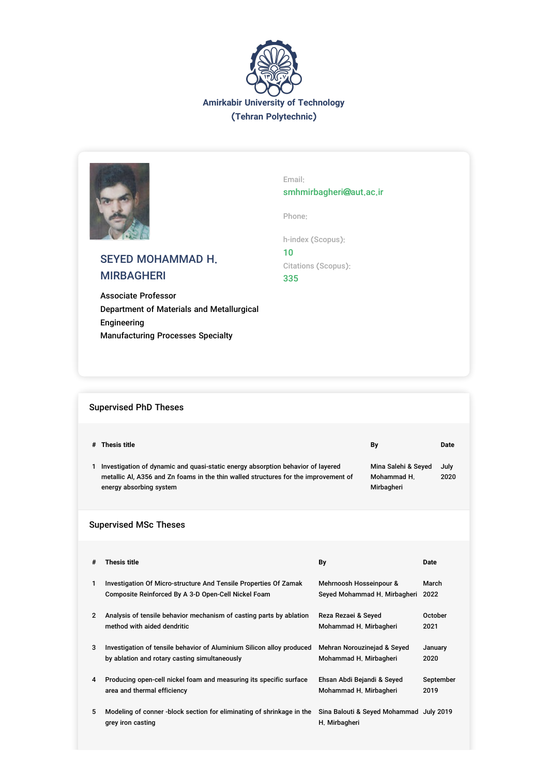



# SEYED MOHAMMAD H. MIRBAGHERI

Associate Professor Department of Materials and Metallurgical Engineering Manufacturing Processes Specialty

Email: smhmirbagheri@aut.ac.ir

2020

Phone:

h-index (Scopus): 10 Citations (Scopus): 335

| # Thesis title | By | <b>Date</b> |
|----------------|----|-------------|
|                |    |             |

1 Investigation of dynamic and quasi-static energy absorption behavior of layered metallic Al, A356 and Zn foams in the thin walled structures for the improvement of energy absorbing system Mina Salehi & Seyed July Mohammad H. Mirbagheri

## Supervised MSc Theses

Supervised PhD Theses

| #              | Thesis title                                                                               | By                                                       | Date      |
|----------------|--------------------------------------------------------------------------------------------|----------------------------------------------------------|-----------|
| 1              | Investigation Of Micro-structure And Tensile Properties Of Zamak                           | Mehrnoosh Hosseinpour &                                  | March     |
|                | Composite Reinforced By A 3-D Open-Cell Nickel Foam                                        | Seyed Mohammad H. Mirbagheri                             | 2022      |
| $\overline{2}$ | Analysis of tensile behavior mechanism of casting parts by ablation                        | Reza Rezaei & Seyed                                      | October   |
|                | method with aided dendritic                                                                | Mohammad H. Mirbagheri                                   | 2021      |
| 3              | Investigation of tensile behavior of Aluminium Silicon alloy produced                      | Mehran Norouzinejad & Seyed                              | January   |
|                | by ablation and rotary casting simultaneously                                              | Mohammad H. Mirbagheri                                   | 2020      |
| 4              | Producing open-cell nickel foam and measuring its specific surface                         | Ehsan Abdi Bejandi & Seyed                               | September |
|                | area and thermal efficiency                                                                | Mohammad H. Mirbagheri                                   | 2019      |
| 5              | Modeling of conner -block section for eliminating of shrinkage in the<br>grey iron casting | Sina Balouti & Seyed Mohammad July 2019<br>H. Mirbagheri |           |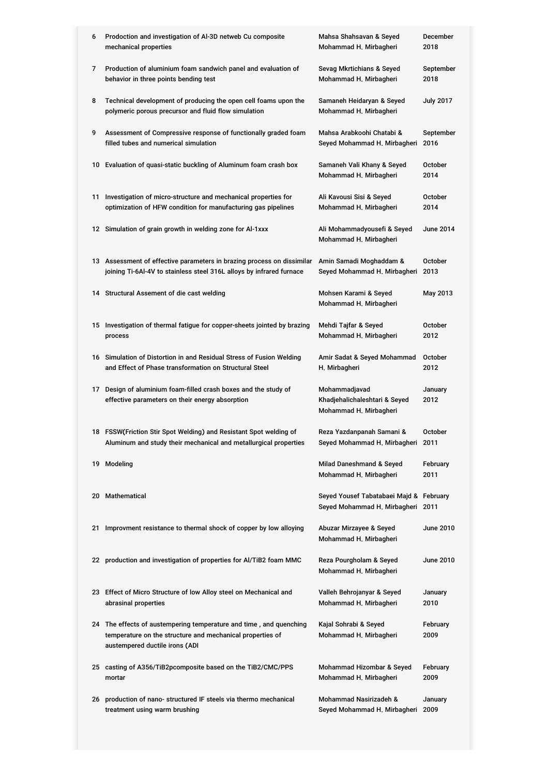| 6  | Prodoction and investigation of Al-3D netweb Cu composite<br>mechanical properties                                                                                | Mahsa Shahsavan & Seyed<br>Mohammad H. Mirbagheri                            | December<br>2018  |
|----|-------------------------------------------------------------------------------------------------------------------------------------------------------------------|------------------------------------------------------------------------------|-------------------|
| 7  | Production of aluminium foam sandwich panel and evaluation of<br>behavior in three points bending test                                                            | Sevag Mkrtichians & Seyed<br>Mohammad H. Mirbagheri                          | September<br>2018 |
| 8  | Technical development of producing the open cell foams upon the<br>polymeric porous precursor and fluid flow simulation                                           | Samaneh Heidaryan & Seyed<br>Mohammad H. Mirbagheri                          | <b>July 2017</b>  |
| 9  | Assessment of Compressive response of functionally graded foam<br>filled tubes and numerical simulation                                                           | Mahsa Arabkoohi Chatabi &<br>Seyed Mohammad H. Mirbagheri                    | September<br>2016 |
|    | 10 Evaluation of quasi-static buckling of Aluminum foam crash box                                                                                                 | Samaneh Vali Khany & Seyed<br>Mohammad H. Mirbagheri                         | October<br>2014   |
| 11 | Investigation of micro-structure and mechanical properties for<br>optimization of HFW condition for manufacturing gas pipelines                                   | Ali Kavousi Sisi & Seyed<br>Mohammad H. Mirbagheri                           | October<br>2014   |
|    | 12 Simulation of grain growth in welding zone for Al-1xxx                                                                                                         | Ali Mohammadyousefi & Seyed<br>Mohammad H. Mirbagheri                        | June 2014         |
|    | 13 Assessment of effective parameters in brazing process on dissimilar<br>joining Ti-6Al-4V to stainless steel 316L alloys by infrared furnace                    | Amin Samadi Moghaddam &<br>Seyed Mohammad H. Mirbagheri                      | October<br>2013   |
|    | 14 Structural Assement of die cast welding                                                                                                                        | Mohsen Karami & Seyed<br>Mohammad H. Mirbagheri                              | May 2013          |
|    | 15 Investigation of thermal fatigue for copper-sheets jointed by brazing<br>process                                                                               | Mehdi Tajfar & Seyed<br>Mohammad H. Mirbagheri                               | October<br>2012   |
|    | 16 Simulation of Distortion in and Residual Stress of Fusion Welding<br>and Effect of Phase transformation on Structural Steel                                    | Amir Sadat & Seyed Mohammad<br>H. Mirbagheri                                 | October<br>2012   |
| 17 | Design of aluminium foam-filled crash boxes and the study of<br>effective parameters on their energy absorption                                                   | Mohammadjavad<br>Khadjehalichaleshtari & Seyed<br>Mohammad H. Mirbagheri     | January<br>2012   |
|    | 18 FSSW (Friction Stir Spot Welding) and Resistant Spot welding of<br>Aluminum and study their mechanical and metallurgical properties                            | Reza Yazdanpanah Samani &<br>Seyed Mohammad H. Mirbagheri 2011               | October           |
|    | 19 Modeling                                                                                                                                                       | Milad Daneshmand & Seyed<br>Mohammad H. Mirbagheri                           | February<br>2011  |
|    | 20 Mathematical                                                                                                                                                   | Seyed Yousef Tabatabaei Majd & February<br>Seyed Mohammad H. Mirbagheri 2011 |                   |
| 21 | Improvment resistance to thermal shock of copper by low alloying                                                                                                  | Abuzar Mirzayee & Seyed<br>Mohammad H. Mirbagheri                            | June 2010         |
|    | 22 production and investigation of properties for Al/TiB2 foam MMC                                                                                                | Reza Pourgholam & Seyed<br>Mohammad H. Mirbagheri                            | June 2010         |
|    | 23 Effect of Micro Structure of low Alloy steel on Mechanical and<br>abrasinal properties                                                                         | Valleh Behrojanyar & Seyed<br>Mohammad H. Mirbagheri                         | January<br>2010   |
|    | 24 The effects of austempering temperature and time, and quenching<br>temperature on the structure and mechanical properties of<br>austempered ductile irons (ADI | Kajal Sohrabi & Seyed<br>Mohammad H. Mirbagheri                              | February<br>2009  |
|    | 25 casting of A356/TiB2pcomposite based on the TiB2/CMC/PPS<br>mortar                                                                                             | Mohammad Hizombar & Seyed<br>Mohammad H. Mirbagheri                          | February<br>2009  |
|    | 26 production of nano- structured IF steels via thermo mechanical<br>treatment using warm brushing                                                                | Mohammad Nasirizadeh &<br>Seyed Mohammad H. Mirbagheri                       | January<br>2009   |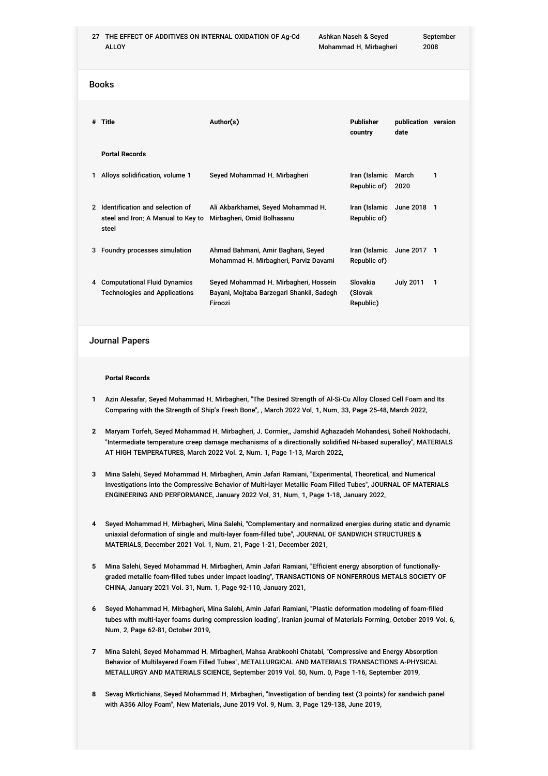27 THE EFFECT OF ADDITIVES ON INTERNAL OXIDATION OF Ag-Cd ALLOY Ashkan Naseh & Seyed Mohammad H. Mirbagheri

Books

| # | Title                                                                          | Author(s)                                                                                     | Publisher<br>country             | publication version<br>date |             |
|---|--------------------------------------------------------------------------------|-----------------------------------------------------------------------------------------------|----------------------------------|-----------------------------|-------------|
|   | <b>Portal Records</b>                                                          |                                                                                               |                                  |                             |             |
|   | Alloys solidification, volume 1                                                | Seyed Mohammad H. Mirbagheri                                                                  | Iran (Islamic<br>Republic of)    | March<br>2020               | 1           |
| 2 | Identification and selection of<br>steel and Iron; A Manual to Key to<br>steel | Ali Akbarkhamei, Seyed Mohammad H.<br>Mirbagheri, Omid Bolhasanu                              | Iran (Islamic<br>Republic of)    | June 2018 1                 |             |
| 3 | Foundry processes simulation                                                   | Ahmad Bahmani, Amir Baghani, Seyed<br>Mohammad H. Mirbagheri, Parviz Davami                   | Iran (Islamic<br>Republic of)    | June 2017 1                 |             |
| 4 | <b>Computational Fluid Dynamics</b><br><b>Technologies and Applications</b>    | Seyed Mohammad H. Mirbagheri, Hossein<br>Bayani, Mojtaba Barzegari Shankil, Sadegh<br>Firoozi | Slovakia<br>(Slovak<br>Republic) | <b>July 2011</b>            | $\mathbf 1$ |

## Journal Papers

### **Portal Records**

- **1** Azin Alesafar, Seyed Mohammad H. Mirbagheri, "The Desired Strength of Al-Si-Cu Alloy Closed Cell Foam and Its Comparing with the Strength of Ship's Fresh Bone", , March 2022 Vol. 1, Num. 33, Page 25-48, March 2022,
- **2** Maryam Torfeh, Seyed Mohammad H. Mirbagheri, J. Cormier,, Jamshid Aghazadeh Mohandesi, Soheil Nokhodachi, "Intermediate temperature creep damage mechanisms of a directionally solidified Ni-based superalloy", MATERIALS AT HIGH TEMPERATURES, March 2022 Vol. 2, Num. 1, Page 1-13, March 2022,
- **3** Mina Salehi, Seyed Mohammad H. Mirbagheri, Amin Jafari Ramiani, "Experimental, Theoretical, and Numerical Investigations into the Compressive Behavior of Multi-layer Metallic Foam Filled Tubes", JOURNAL OF MATERIALS ENGINEERING AND PERFORMANCE, January 2022 Vol. 31, Num. 1, Page 1-18, January 2022,
- **4** Seyed Mohammad H. Mirbagheri, Mina Salehi, "Complementary and normalized energies during static and dynamic uniaxial deformation of single and multi-layer foam-filled tube", JOURNAL OF SANDWICH STRUCTURES & MATERIALS, December 2021 Vol. 1, Num. 21, Page 1-21, December 2021,
- **5** Mina Salehi, Seyed Mohammad H. Mirbagheri, Amin Jafari Ramiani, "Efficient energy absorption of functionallygraded metallic foam-filled tubes under impact loading", TRANSACTIONS OF NONFERROUS METALS SOCIETY OF CHINA, January 2021 Vol. 31, Num. 1, Page 92-110, January 2021,
- **6** Seyed Mohammad H. Mirbagheri, Mina Salehi, Amin Jafari Ramiani, "Plastic deformation modeling of foam-filled tubes with multi-layer foams during compression loading", Iranian journal of Materials Forming, October 2019 Vol. 6, Num. 2, Page 62-81, October 2019,
- **7** Mina Salehi, Seyed Mohammad H. Mirbagheri, Mahsa Arabkoohi Chatabi, "Compressive and Energy Absorption Behavior of Multilayered Foam Filled Tubes", METALLURGICAL AND MATERIALS TRANSACTIONS A-PHYSICAL METALLURGY AND MATERIALS SCIENCE, September 2019 Vol. 50, Num. 0, Page 1-16, September 2019,
- **8** Sevag Mkrtichians, Seyed Mohammad H. Mirbagheri, "Investigation of bending test (3 points) for sandwich panel with A356 Alloy Foam", New Materials, June 2019 Vol. 9, Num. 3, Page 129-138, June 2019,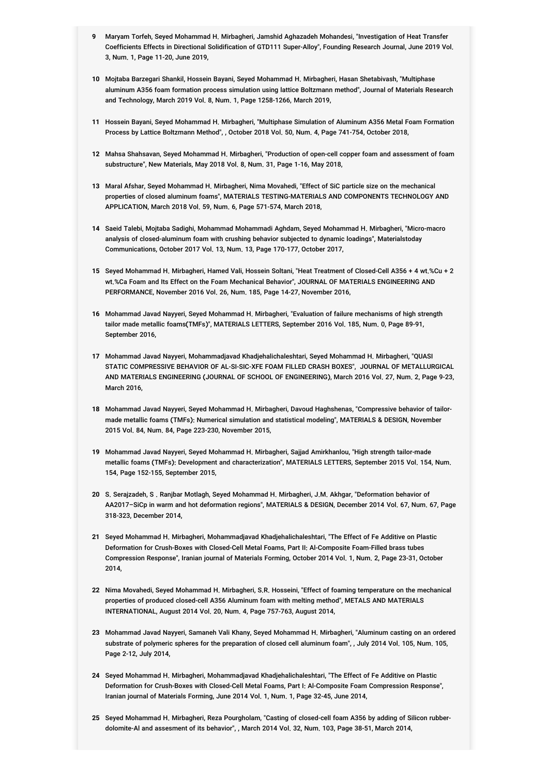- **9** Maryam Torfeh, Seyed Mohammad H. Mirbagheri, Jamshid Aghazadeh Mohandesi, "Investigation of Heat Transfer Coefficients Effects in Directional Solidification of GTD111 Super-Alloy", Founding Research Journal, June 2019 Vol. 3, Num. 1, Page 11-20, June 2019,
- **10** Mojtaba Barzegari Shankil, Hossein Bayani, Seyed Mohammad H. Mirbagheri, Hasan Shetabivash, "Multiphase aluminum A356 foam formation process simulation using lattice Boltzmann method", Journal of Materials Research and Technology, March 2019 Vol. 8, Num. 1, Page 1258-1266, March 2019,
- **11** Hossein Bayani, Seyed Mohammad H. Mirbagheri, "Multiphase Simulation of Aluminum A356 Metal Foam Formation Process by Lattice Boltzmann Method", , October 2018 Vol. 50, Num. 4, Page 741-754, October 2018,
- **12** Mahsa Shahsavan, Seyed Mohammad H. Mirbagheri, "Production of open-cell copper foam and assessment of foam substructure", New Materials, May 2018 Vol. 8, Num. 31, Page 1-16, May 2018,
- **13** Maral Afshar, Seyed Mohammad H. Mirbagheri, Nima Movahedi, "Effect of SiC particle size on the mechanical properties of closed aluminum foams", MATERIALS TESTING-MATERIALS AND COMPONENTS TECHNOLOGY AND APPLICATION, March 2018 Vol. 59, Num. 6, Page 571-574, March 2018,
- **14** Saeid Talebi, Mojtaba Sadighi, Mohammad Mohammadi Aghdam, Seyed Mohammad H. Mirbagheri, "Micro-macro analysis of closed-aluminum foam with crushing behavior subjected to dynamic loadings", Materialstoday Communications, October 2017 Vol. 13, Num. 13, Page 170-177, October 2017,
- **15** Seyed Mohammad H. Mirbagheri, Hamed Vali, Hossein Soltani, "Heat Treatment of Closed-Cell A356 + 4 wt.%Cu + 2 wt.%Ca Foam and Its Effect on the Foam Mechanical Behavior", JOURNAL OF MATERIALS ENGINEERING AND PERFORMANCE, November 2016 Vol. 26, Num. 185, Page 14-27, November 2016,
- **16** Mohammad Javad Nayyeri, Seyed Mohammad H. Mirbagheri, "Evaluation of failure mechanisms of high strength tailor made metallic foams(TMFs)", MATERIALS LETTERS, September 2016 Vol. 185, Num. 0, Page 89-91, September 2016,
- **17** Mohammad Javad Nayyeri, Mohammadjavad Khadjehalichaleshtari, Seyed Mohammad H. Mirbagheri, "QUASI STATIC COMPRESSIVE BEHAVIOR OF AL-SI-SIC-XFE FOAM FILLED CRASH BOXES", JOURNAL OF METALLURGICAL AND MATERIALS ENGINEERING (JOURNAL OF SCHOOL OF ENGINEERING), March 2016 Vol. 27, Num. 2, Page 9-23, March 2016,
- **18** Mohammad Javad Nayyeri, Seyed Mohammad H. Mirbagheri, Davoud Haghshenas, "Compressive behavior of tailormade metallic foams (TMFs): Numerical simulation and statistical modeling", MATERIALS & DESIGN, November 2015 Vol. 84, Num. 84, Page 223-230, November 2015,
- **19** Mohammad Javad Nayyeri, Seyed Mohammad H. Mirbagheri, Sajjad Amirkhanlou, "High strength tailor-made metallic foams (TMFs): Development and characterization", MATERIALS LETTERS, September 2015 Vol. 154, Num. 154, Page 152-155, September 2015,
- **20** S. Serajzadeh, S . Ranjbar Motlagh, Seyed Mohammad H. Mirbagheri, J.M. Akhgar, "Deformation behavior of AA2017–SiCp in warm and hot deformation regions", MATERIALS & DESIGN, December 2014 Vol. 67, Num. 67, Page 318-323, December 2014,
- **21** Seyed Mohammad H. Mirbagheri, Mohammadjavad Khadjehalichaleshtari, "The Effect of Fe Additive on Plastic Deformation for Crush-Boxes with Closed-Cell Metal Foams, Part II: Al-Composite Foam-Filled brass tubes Compression Response", Iranian journal of Materials Forming, October 2014 Vol. 1, Num. 2, Page 23-31, October 2014,
- **22** Nima Movahedi, Seyed Mohammad H. Mirbagheri, S.R. Hosseini, "Effect of foaming temperature on the mechanical properties of produced closed-cell A356 Aluminum foam with melting method", METALS AND MATERIALS INTERNATIONAL, August 2014 Vol. 20, Num. 4, Page 757-763, August 2014,
- **23** Mohammad Javad Nayyeri, Samaneh Vali Khany, Seyed Mohammad H. Mirbagheri, "Aluminum casting on an ordered substrate of polymeric spheres for the preparation of closed cell aluminum foam", , July 2014 Vol. 105, Num. 105, Page 2-12, July 2014,
- **24** Seyed Mohammad H. Mirbagheri, Mohammadjavad Khadjehalichaleshtari, "The Effect of Fe Additive on Plastic Deformation for Crush-Boxes with Closed-Cell Metal Foams, Part I: Al-Composite Foam Compression Response", Iranian journal of Materials Forming, June 2014 Vol. 1, Num. 1, Page 32-45, June 2014,
- **25** Seyed Mohammad H. Mirbagheri, Reza Pourgholam, "Casting of closed-cell foam A356 by adding of Silicon rubberdolomite-Al and assesment of its behavior", , March 2014 Vol. 32, Num. 103, Page 38-51, March 2014,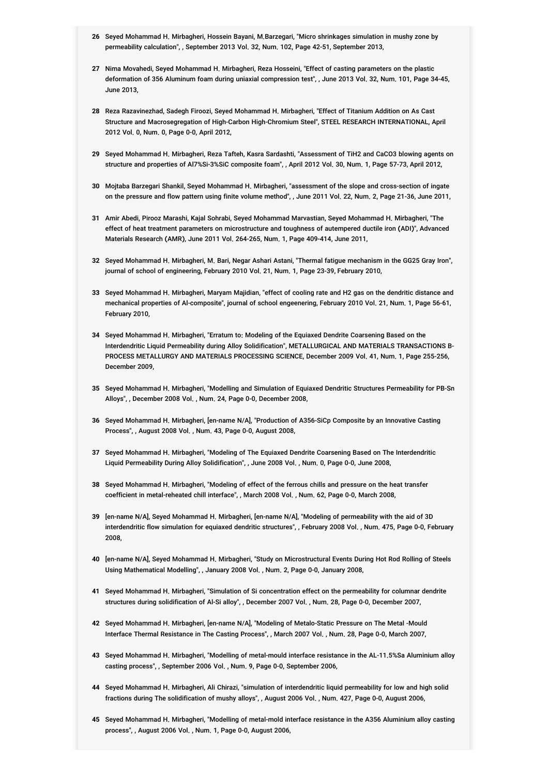- **26** Seyed Mohammad H. Mirbagheri, Hossein Bayani, M.Barzegari, "Micro shrinkages simulation in mushy zone by permeability calculation", , September 2013 Vol. 32, Num. 102, Page 42-51, September 2013,
- **27** Nima Movahedi, Seyed Mohammad H. Mirbagheri, Reza Hosseini, "Effect of casting parameters on the plastic deformation of َ 356 Aluminum foam during uniaxial compression test", , June 2013 Vol. 32, Num. 101, Page 34-45, June 2013,
- **28** Reza Razavinezhad, Sadegh Firoozi, Seyed Mohammad H. Mirbagheri, "Effect of Titanium Addition on As Cast Structure and Macrosegregation of High-Carbon High-Chromium Steel", STEEL RESEARCH INTERNATIONAL, April 2012 Vol. 0, Num. 0, Page 0-0, April 2012,
- **29** Seyed Mohammad H. Mirbagheri, Reza Tafteh, Kasra Sardashti, "Assessment of TiH2 and CaCO3 blowing agents on structure and properties of Al7%Si-3%SiC composite foam", , April 2012 Vol. 30, Num. 1, Page 57-73, April 2012,
- **30** Mojtaba Barzegari Shankil, Seyed Mohammad H. Mirbagheri, "assessment of the slope and cross-section of ingate on the pressure and flow pattern using finite volume method", , June 2011 Vol. 22, Num. 2, Page 21-36, June 2011,
- **31** Amir Abedi, Pirooz Marashi, Kajal Sohrabi, Seyed Mohammad Marvastian, Seyed Mohammad H. Mirbagheri, "The effect of heat treatment parameters on microstructure and toughness of autempered ductile iron (ADI)", Advanced Materials Research (AMR), June 2011 Vol. 264-265, Num. 1, Page 409-414, June 2011,
- **32** Seyed Mohammad H. Mirbagheri, M. Bari, Negar Ashari Astani, "Thermal fatigue mechanism in the GG25 Gray Iron", journal of school of engineering, February 2010 Vol. 21, Num. 1, Page 23-39, February 2010,
- **33** Seyed Mohammad H. Mirbagheri, Maryam Majidian, "effect of cooling rate and H2 gas on the dendritic distance and mechanical properties of Al-composite", journal of school engeenering, February 2010 Vol. 21, Num. 1, Page 56-61, February 2010,
- **34** Seyed Mohammad H. Mirbagheri, "Erratum to: Modeling of the Equiaxed Dendrite Coarsening Based on the Interdendritic Liquid Permeability during Alloy Solidification", METALLURGICAL AND MATERIALS TRANSACTIONS B-PROCESS METALLURGY AND MATERIALS PROCESSING SCIENCE, December 2009 Vol. 41, Num. 1, Page 255-256, December 2009,
- **35** Seyed Mohammad H. Mirbagheri, "Modelling and Simulation of Equiaxed Dendritic Structures Permeability for PB-Sn Alloys", , December 2008 Vol. , Num. 24, Page 0-0, December 2008,
- **36** Seyed Mohammad H. Mirbagheri, [en-name N/A], "Production of A356-SiCp Composite by an Innovative Casting Process", , August 2008 Vol. , Num. 43, Page 0-0, August 2008,
- **37** Seyed Mohammad H. Mirbagheri, "Modeling of The Equiaxed Dendrite Coarsening Based on The Interdendritic Liquid Permeability During Alloy Solidification", , June 2008 Vol. , Num. 0, Page 0-0, June 2008,
- **38** Seyed Mohammad H. Mirbagheri, "Modeling of effect of the ferrous chills and pressure on the heat transfer coefficient in metal-reheated chill interface", , March 2008 Vol. , Num. 62, Page 0-0, March 2008,
- **39** [en-name N/A], Seyed Mohammad H. Mirbagheri, [en-name N/A], "Modeling of permeability with the aid of 3D interdendritic flow simulation for equiaxed dendritic structures", , February 2008 Vol. , Num. 475, Page 0-0, February 2008,
- **40** [en-name N/A], Seyed Mohammad H. Mirbagheri, "Study on Microstructural Events During Hot Rod Rolling of Steels Using Mathematical Modelling", , January 2008 Vol. , Num. 2, Page 0-0, January 2008,
- **41** Seyed Mohammad H. Mirbagheri, "Simulation of Si concentration effect on the permeability for columnar dendrite structures during solidification of Al-Si alloy", , December 2007 Vol. , Num. 28, Page 0-0, December 2007,
- **42** Seyed Mohammad H. Mirbagheri, [en-name N/A], "Modeling of Metalo-Static Pressure on The Metal -Mould Interface Thermal Resistance in The Casting Process", , March 2007 Vol. , Num. 28, Page 0-0, March 2007,
- **43** Seyed Mohammad H. Mirbagheri, "Modelling of metal-mould interface resistance in the AL-11.5%Sa Aluminium alloy casting process", , September 2006 Vol. , Num. 9, Page 0-0, September 2006,
- **44** Seyed Mohammad H. Mirbagheri, Ali Chirazi, "simulation of interdendritic liquid permeability for low and high solid fractions during The solidification of mushy alloys", , August 2006 Vol. , Num. 427, Page 0-0, August 2006,
- **45** Seyed Mohammad H. Mirbagheri, "Modelling of metal-mold interface resistance in the A356 Aluminium alloy casting process", , August 2006 Vol. , Num. 1, Page 0-0, August 2006,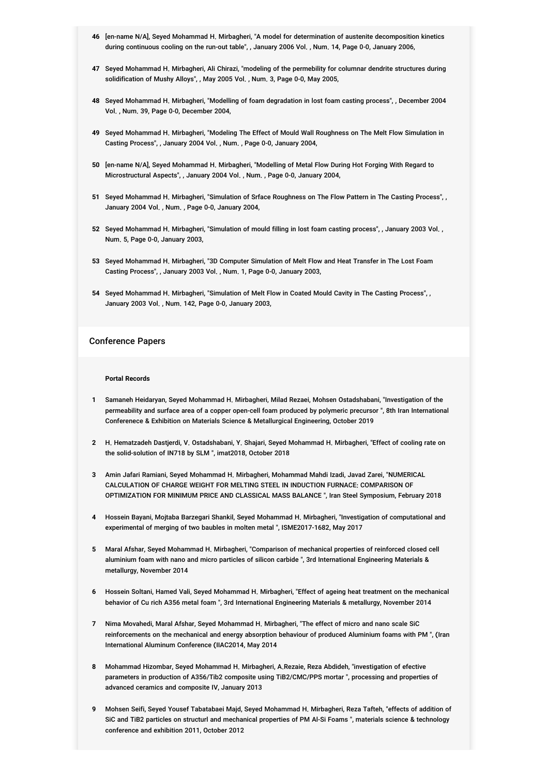- **46** [en-name N/A], Seyed Mohammad H. Mirbagheri, "A model for determination of austenite decomposition kinetics during continuous cooling on the run-out table", , January 2006 Vol. , Num. 14, Page 0-0, January 2006,
- **47** Seyed Mohammad H. Mirbagheri, Ali Chirazi, "modeling of the permebility for columnar dendrite structures during solidification of Mushy Alloys", , May 2005 Vol. , Num. 3, Page 0-0, May 2005,
- **48** Seyed Mohammad H. Mirbagheri, "Modelling of foam degradation in lost foam casting process", , December 2004 Vol. , Num. 39, Page 0-0, December 2004,
- **49** Seyed Mohammad H. Mirbagheri, "Modeling The Effect of Mould Wall Roughness on The Melt Flow Simulation in Casting Process", , January 2004 Vol. , Num. , Page 0-0, January 2004,
- **50** [en-name N/A], Seyed Mohammad H. Mirbagheri, "Modelling of Metal Flow During Hot Forging With Regard to Microstructural Aspects", , January 2004 Vol. , Num. , Page 0-0, January 2004,
- **51** Seyed Mohammad H. Mirbagheri, "Simulation of Srface Roughness on The Flow Pattern in The Casting Process", , January 2004 Vol. , Num. , Page 0-0, January 2004,
- **52** Seyed Mohammad H. Mirbagheri, "Simulation of mould filling in lost foam casting process", , January 2003 Vol. , Num. 5, Page 0-0, January 2003,
- **53** Seyed Mohammad H. Mirbagheri, "3D Computer Simulation of Melt Flow and Heat Transfer in The Lost Foam Casting Process", , January 2003 Vol. , Num. 1, Page 0-0, January 2003,
- **54** Seyed Mohammad H. Mirbagheri, "Simulation of Melt Flow in Coated Mould Cavity in The Casting Process", , January 2003 Vol. , Num. 142, Page 0-0, January 2003,

## Conference Papers

### **Portal Records**

- **1** Samaneh Heidaryan, Seyed Mohammad H. Mirbagheri, Milad Rezaei, Mohsen Ostadshabani, "Investigation of the permeability and surface area of a copper open-cell foam produced by polymeric precursor ", 8th Iran International Conferenece & Exhibition on Materials Science & Metallurgical Engineering, October 2019
- **2** H. Hematzadeh Dastjerdi, V. Ostadshabani, Y. Shajari, Seyed Mohammad H. Mirbagheri, "Effect of cooling rate on the solid-solution of IN718 by SLM ", imat2018, October 2018
- **3** Amin Jafari Ramiani, Seyed Mohammad H. Mirbagheri, Mohammad Mahdi Izadi, Javad Zarei, "NUMERICAL CALCULATION OF CHARGE WEIGHT FOR MELTING STEEL IN INDUCTION FURNACE: COMPARISON OF OPTIMIZATION FOR MINIMUM PRICE AND CLASSICAL MASS BALANCE ", Iran Steel Symposium, February 2018
- **4** Hossein Bayani, Mojtaba Barzegari Shankil, Seyed Mohammad H. Mirbagheri, "Investigation of computational and experimental of merging of two baubles in molten metal ", ISME2017-1682, May 2017
- **5** Maral Afshar, Seyed Mohammad H. Mirbagheri, "Comparison of mechanical properties of reinforced closed cell aluminium foam with nano and micro particles of silicon carbide ", 3rd International Engineering Materials & metallurgy, November 2014
- **6** Hossein Soltani, Hamed Vali, Seyed Mohammad H. Mirbagheri, "Effect of ageing heat treatment on the mechanical behavior of Cu rich A356 metal foam ", 3rd International Engineering Materials & metallurgy, November 2014
- **7** Nima Movahedi, Maral Afshar, Seyed Mohammad H. Mirbagheri, "The effect of micro and nano scale SiC reinforcements on the mechanical and energy absorption behaviour of produced Aluminium foams with PM ", (Iran International Aluminum Conference (IIAC2014, May 2014
- **8** Mohammad Hizombar, Seyed Mohammad H. Mirbagheri, A.Rezaie, Reza Abdideh, "investigation of efective parameters in production of A356/Tib2 composite using TiB2/CMC/PPS mortar ", processing and properties of advanced ceramics and composite IV, January 2013
- **9** Mohsen Seifi, Seyed Yousef Tabatabaei Majd, Seyed Mohammad H. Mirbagheri, Reza Tafteh, "effects of addition of SiC and TiB2 particles on structurl and mechanical properties of PM Al-Si Foams ", materials science & technology conference and exhibition 2011, October 2012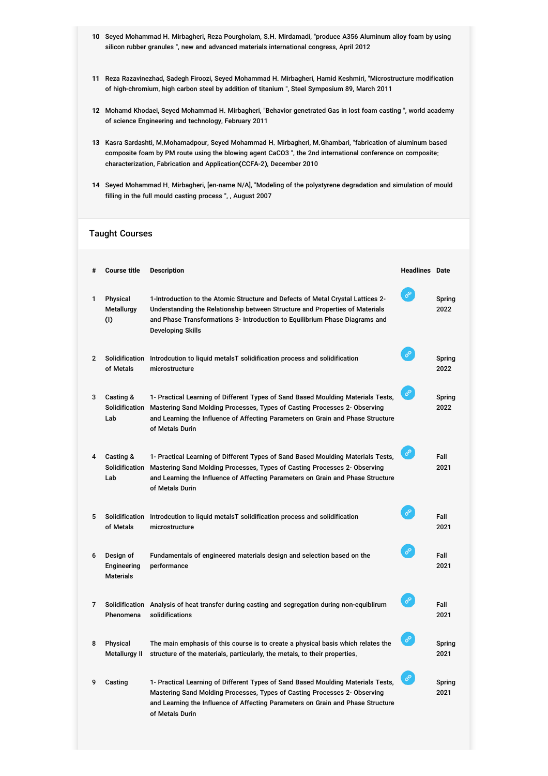- **10** Seyed Mohammad H. Mirbagheri, Reza Pourgholam, S.H. Mirdamadi, "produce A356 Aluminum alloy foam by using silicon rubber granules ", new and advanced materials international congress, April 2012
- **11** Reza Razavinezhad, Sadegh Firoozi, Seyed Mohammad H. Mirbagheri, Hamid Keshmiri, "Microstructure modification of high-chromium, high carbon steel by addition of titanium ", Steel Symposium 89, March 2011
- **12** Mohamd Khodaei, Seyed Mohammad H. Mirbagheri, "Behavior genetrated Gas in lost foam casting ", world academy of science Engineering and technology, February 2011
- **13** Kasra Sardashti, M.Mohamadpour, Seyed Mohammad H. Mirbagheri, M.Ghambari, "fabrication of aluminum based composite foam by PM route using the blowing agent CaCO3 ", the 2nd international conference on composite: characterization, Fabrication and Application(CCFA-2), December 2010
- **14** Seyed Mohammad H. Mirbagheri, [en-name N/A], "Modeling of the polystyrene degradation and simulation of mould filling in the full mould casting process ", , August 2007

## Taught Courses

| #              | <b>Course title</b>                          | <b>Description</b>                                                                                                                                                                                                                                                  | <b>Headlines</b> Date |                |
|----------------|----------------------------------------------|---------------------------------------------------------------------------------------------------------------------------------------------------------------------------------------------------------------------------------------------------------------------|-----------------------|----------------|
| 1              | Physical<br>Metallurgy<br>(1)                | 1-Introduction to the Atomic Structure and Defects of Metal Crystal Lattices 2-<br>Understanding the Relationship between Structure and Properties of Materials<br>and Phase Transformations 3- Introduction to Equilibrium Phase Diagrams and<br>Developing Skills | ℰ                     | Spring<br>2022 |
| $\overline{2}$ | Solidification<br>of Metals                  | Introdcution to liquid metals T solidification process and solidification<br>microstructure                                                                                                                                                                         | ℰ                     | Spring<br>2022 |
| 3              | Casting &<br>Solidification<br>Lab           | 1- Practical Learning of Different Types of Sand Based Moulding Materials Tests,<br>Mastering Sand Molding Processes, Types of Casting Processes 2- Observing<br>and Learning the Influence of Affecting Parameters on Grain and Phase Structure<br>of Metals Durin | $\mathcal{O}$         | Spring<br>2022 |
| 4              | Casting &<br>Solidification<br>Lab           | 1- Practical Learning of Different Types of Sand Based Moulding Materials Tests,<br>Mastering Sand Molding Processes, Types of Casting Processes 2- Observing<br>and Learning the Influence of Affecting Parameters on Grain and Phase Structure<br>of Metals Durin | $\mathcal{O}$         | Fall<br>2021   |
| 5              | Solidification<br>of Metals                  | Introdcution to liquid metals T solidification process and solidification<br>microstructure                                                                                                                                                                         | ℰ                     | Fall<br>2021   |
| 6              | Design of<br>Engineering<br><b>Materials</b> | Fundamentals of engineered materials design and selection based on the<br>performance                                                                                                                                                                               | ℰ                     | Fall<br>2021   |
| 7              | Phenomena                                    | Solidification Analysis of heat transfer during casting and segregation during non-equiblirum<br>solidifications                                                                                                                                                    | $\mathcal{O}$         | Fall<br>2021   |
| 8              | Physical<br>Metallurgy II                    | The main emphasis of this course is to create a physical basis which relates the<br>structure of the materials, particularly, the metals, to their properties.                                                                                                      | $\mathcal{O}$         | Spring<br>2021 |
| 9              | Casting                                      | 1- Practical Learning of Different Types of Sand Based Moulding Materials Tests,<br>Mastering Sand Molding Processes, Types of Casting Processes 2- Observing<br>and Learning the Influence of Affecting Parameters on Grain and Phase Structure<br>of Metals Durin | $\mathcal{O}$         | Spring<br>2021 |